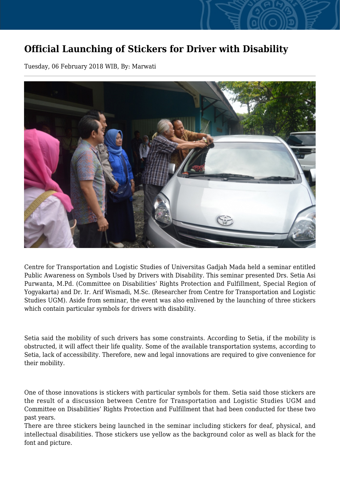## **Official Launching of Stickers for Driver with Disability**

Tuesday, 06 February 2018 WIB, By: Marwati



Centre for Transportation and Logistic Studies of Universitas Gadjah Mada held a seminar entitled Public Awareness on Symbols Used by Drivers with Disability. This seminar presented Drs. Setia Asi Purwanta, M.Pd. (Committee on Disabilities' Rights Protection and Fulfillment, Special Region of Yogyakarta) and Dr. Ir. Arif Wismadi, M.Sc. (Researcher from Centre for Transportation and Logistic Studies UGM). Aside from seminar, the event was also enlivened by the launching of three stickers which contain particular symbols for drivers with disability.

Setia said the mobility of such drivers has some constraints. According to Setia, if the mobility is obstructed, it will affect their life quality. Some of the available transportation systems, according to Setia, lack of accessibility. Therefore, new and legal innovations are required to give convenience for their mobility.

One of those innovations is stickers with particular symbols for them. Setia said those stickers are the result of a discussion between Centre for Transportation and Logistic Studies UGM and Committee on Disabilities' Rights Protection and Fulfillment that had been conducted for these two past years.

There are three stickers being launched in the seminar including stickers for deaf, physical, and intellectual disabilities. Those stickers use yellow as the background color as well as black for the font and picture.